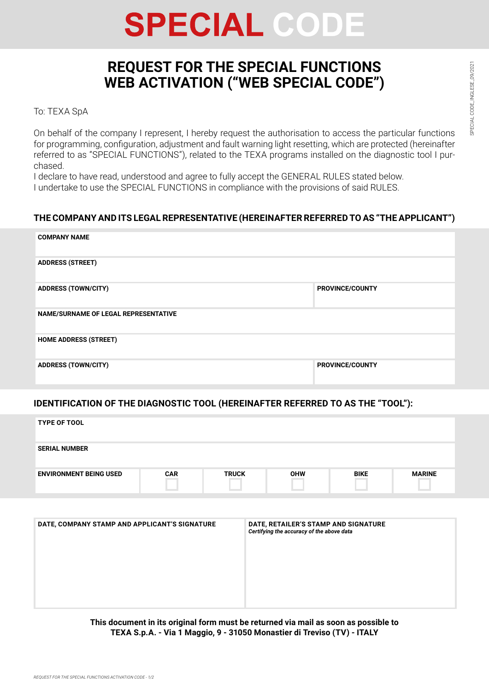# **SPECIAL CODE**

# **REQUEST FOR THE SPECIAL FUNCTIONS WEB ACTIVATION ("WEB SPECIAL CODE")**

To: TEXA SpA

On behalf of the company I represent, I hereby request the authorisation to access the particular functions for programming, configuration, adjustment and fault warning light resetting, which are protected (hereinafter referred to as "SPECIAL FUNCTIONS"), related to the TEXA programs installed on the diagnostic tool I purchased.

I declare to have read, understood and agree to fully accept the GENERAL RULES stated below. I undertake to use the SPECIAL FUNCTIONS in compliance with the provisions of said RULES.

# **THE COMPANY AND ITS LEGAL REPRESENTATIVE (HEREINAFTER REFERRED TO AS "THE APPLICANT")**

| <b>COMPANY NAME</b>                         |                        |
|---------------------------------------------|------------------------|
| <b>ADDRESS (STREET)</b>                     |                        |
| <b>ADDRESS (TOWN/CITY)</b>                  | <b>PROVINCE/COUNTY</b> |
| <b>NAME/SURNAME OF LEGAL REPRESENTATIVE</b> |                        |
| <b>HOME ADDRESS (STREET)</b>                |                        |
| <b>ADDRESS (TOWN/CITY)</b>                  | <b>PROVINCE/COUNTY</b> |

# **IDENTIFICATION OF THE DIAGNOSTIC TOOL (HEREINAFTER REFERRED TO AS THE "TOOL"):**

| <b>TYPE OF TOOL</b>                           |            |                                                                                   |            |             |               |
|-----------------------------------------------|------------|-----------------------------------------------------------------------------------|------------|-------------|---------------|
| <b>SERIAL NUMBER</b>                          |            |                                                                                   |            |             |               |
| <b>ENVIRONMENT BEING USED</b>                 | <b>CAR</b> | <b>TRUCK</b>                                                                      | <b>OHW</b> | <b>BIKE</b> | <b>MARINE</b> |
|                                               |            |                                                                                   |            |             |               |
| DATE, COMPANY STAMP AND APPLICANT'S SIGNATURE |            | DATE, RETAILER'S STAMP AND SIGNATURE<br>Certifying the accuracy of the above data |            |             |               |

**This document in its original form must be returned via mail as soon as possible to TEXA S.p.A. - Via 1 Maggio, 9 - 31050 Monastier di Treviso (TV) - ITALY**